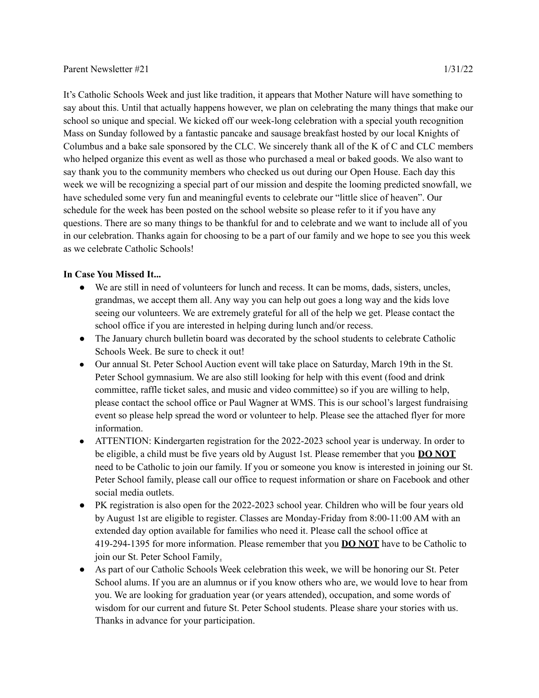It's Catholic Schools Week and just like tradition, it appears that Mother Nature will have something to say about this. Until that actually happens however, we plan on celebrating the many things that make our school so unique and special. We kicked off our week-long celebration with a special youth recognition Mass on Sunday followed by a fantastic pancake and sausage breakfast hosted by our local Knights of Columbus and a bake sale sponsored by the CLC. We sincerely thank all of the K of C and CLC members who helped organize this event as well as those who purchased a meal or baked goods. We also want to say thank you to the community members who checked us out during our Open House. Each day this week we will be recognizing a special part of our mission and despite the looming predicted snowfall, we have scheduled some very fun and meaningful events to celebrate our "little slice of heaven". Our schedule for the week has been posted on the school website so please refer to it if you have any questions. There are so many things to be thankful for and to celebrate and we want to include all of you in our celebration. Thanks again for choosing to be a part of our family and we hope to see you this week as we celebrate Catholic Schools!

## **In Case You Missed It...**

- We are still in need of volunteers for lunch and recess. It can be moms, dads, sisters, uncles, grandmas, we accept them all. Any way you can help out goes a long way and the kids love seeing our volunteers. We are extremely grateful for all of the help we get. Please contact the school office if you are interested in helping during lunch and/or recess.
- The January church bulletin board was decorated by the school students to celebrate Catholic Schools Week. Be sure to check it out!
- Our annual St. Peter School Auction event will take place on Saturday, March 19th in the St. Peter School gymnasium. We are also still looking for help with this event (food and drink committee, raffle ticket sales, and music and video committee) so if you are willing to help, please contact the school office or Paul Wagner at WMS. This is our school's largest fundraising event so please help spread the word or volunteer to help. Please see the attached flyer for more information.
- ATTENTION: Kindergarten registration for the 2022-2023 school year is underway. In order to be eligible, a child must be five years old by August 1st. Please remember that you **DO NOT** need to be Catholic to join our family. If you or someone you know is interested in joining our St. Peter School family, please call our office to request information or share on Facebook and other social media outlets.
- PK registration is also open for the 2022-2023 school year. Children who will be four years old by August 1st are eligible to register. Classes are Monday-Friday from 8:00-11:00 AM with an extended day option available for families who need it. Please call the school office at 419-294-1395 for more information. Please remember that you **DO NOT** have to be Catholic to join our St. Peter School Family.
- As part of our Catholic Schools Week celebration this week, we will be honoring our St. Peter School alums. If you are an alumnus or if you know others who are, we would love to hear from you. We are looking for graduation year (or years attended), occupation, and some words of wisdom for our current and future St. Peter School students. Please share your stories with us. Thanks in advance for your participation.